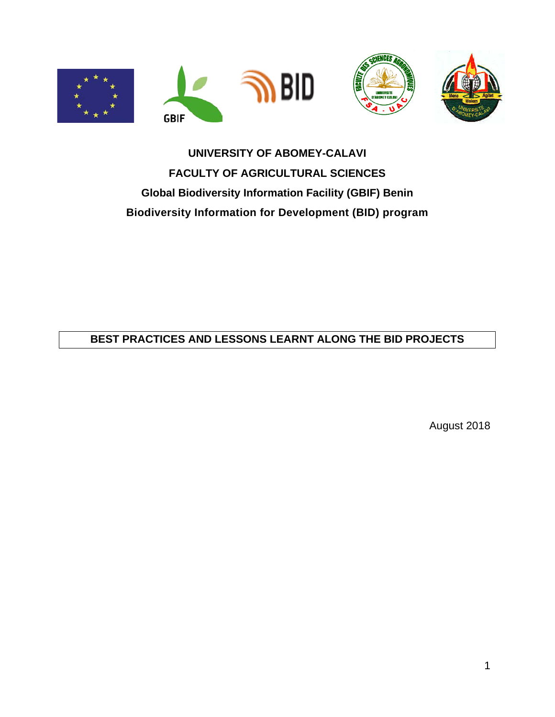





# **UNIVERSITY OF ABOMEY-CALAVI FACULTY OF AGRICULTURAL SCIENCES Global Biodiversity Information Facility (GBIF) Benin Biodiversity Information for Development (BID) program**

#### **BEST PRACTICES AND LESSONS LEARNT ALONG THE BID PROJECTS**

August 2018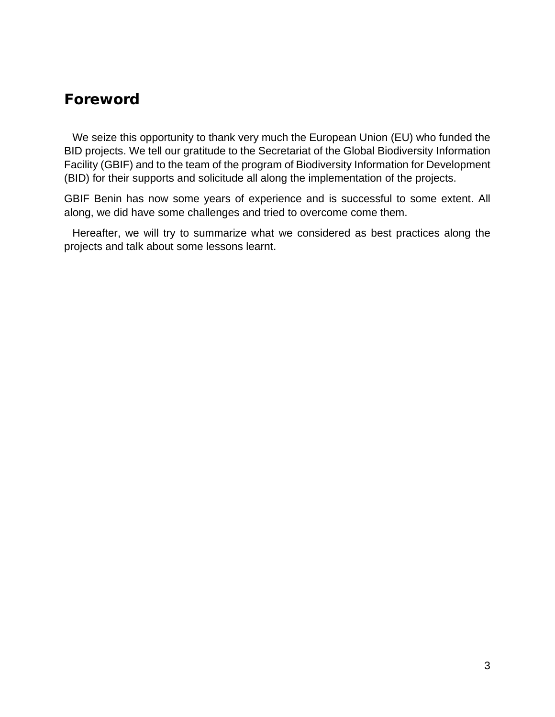### <span id="page-2-0"></span>Foreword

We seize this opportunity to thank very much the European Union (EU) who funded the BID projects. We tell our gratitude to the Secretariat of the Global Biodiversity Information Facility (GBIF) and to the team of the program of Biodiversity Information for Development (BID) for their supports and solicitude all along the implementation of the projects.

GBIF Benin has now some years of experience and is successful to some extent. All along, we did have some challenges and tried to overcome come them.

Hereafter, we will try to summarize what we considered as best practices along the projects and talk about some lessons learnt.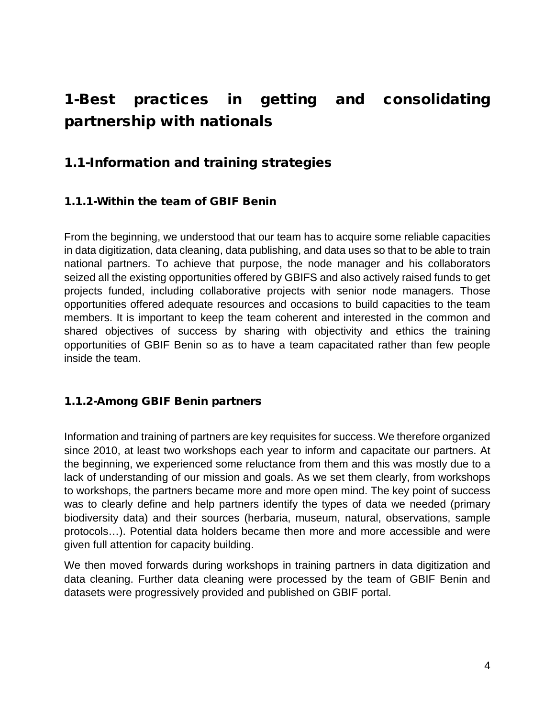# <span id="page-3-0"></span>1-Best practices in getting and consolidating partnership with nationals

### <span id="page-3-1"></span>1.1-Information and training strategies

#### <span id="page-3-2"></span>1.1.1-Within the team of GBIF Benin

From the beginning, we understood that our team has to acquire some reliable capacities in data digitization, data cleaning, data publishing, and data uses so that to be able to train national partners. To achieve that purpose, the node manager and his collaborators seized all the existing opportunities offered by GBIFS and also actively raised funds to get projects funded, including collaborative projects with senior node managers. Those opportunities offered adequate resources and occasions to build capacities to the team members. It is important to keep the team coherent and interested in the common and shared objectives of success by sharing with objectivity and ethics the training opportunities of GBIF Benin so as to have a team capacitated rather than few people inside the team.

#### <span id="page-3-3"></span>1.1.2-Among GBIF Benin partners

Information and training of partners are key requisites for success. We therefore organized since 2010, at least two workshops each year to inform and capacitate our partners. At the beginning, we experienced some reluctance from them and this was mostly due to a lack of understanding of our mission and goals. As we set them clearly, from workshops to workshops, the partners became more and more open mind. The key point of success was to clearly define and help partners identify the types of data we needed (primary biodiversity data) and their sources (herbaria, museum, natural, observations, sample protocols…). Potential data holders became then more and more accessible and were given full attention for capacity building.

We then moved forwards during workshops in training partners in data digitization and data cleaning. Further data cleaning were processed by the team of GBIF Benin and datasets were progressively provided and published on GBIF portal.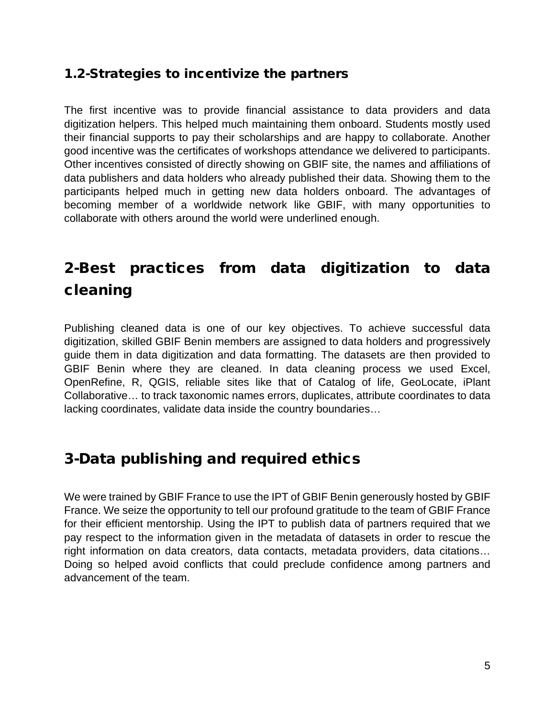### <span id="page-4-0"></span>1.2-Strategies to incentivize the partners

The first incentive was to provide financial assistance to data providers and data digitization helpers. This helped much maintaining them onboard. Students mostly used their financial supports to pay their scholarships and are happy to collaborate. Another good incentive was the certificates of workshops attendance we delivered to participants. Other incentives consisted of directly showing on GBIF site, the names and affiliations of data publishers and data holders who already published their data. Showing them to the participants helped much in getting new data holders onboard. The advantages of becoming member of a worldwide network like GBIF, with many opportunities to collaborate with others around the world were underlined enough.

# <span id="page-4-1"></span>2-Best practices from data digitization to data cleaning

Publishing cleaned data is one of our key objectives. To achieve successful data digitization, skilled GBIF Benin members are assigned to data holders and progressively guide them in data digitization and data formatting. The datasets are then provided to GBIF Benin where they are cleaned. In data cleaning process we used Excel, OpenRefine, R, QGIS, reliable sites like that of Catalog of life, GeoLocate, iPlant Collaborative… to track taxonomic names errors, duplicates, attribute coordinates to data lacking coordinates, validate data inside the country boundaries…

## <span id="page-4-2"></span>3-Data publishing and required ethics

We were trained by GBIF France to use the IPT of GBIF Benin generously hosted by GBIF France. We seize the opportunity to tell our profound gratitude to the team of GBIF France for their efficient mentorship. Using the IPT to publish data of partners required that we pay respect to the information given in the metadata of datasets in order to rescue the right information on data creators, data contacts, metadata providers, data citations… Doing so helped avoid conflicts that could preclude confidence among partners and advancement of the team.